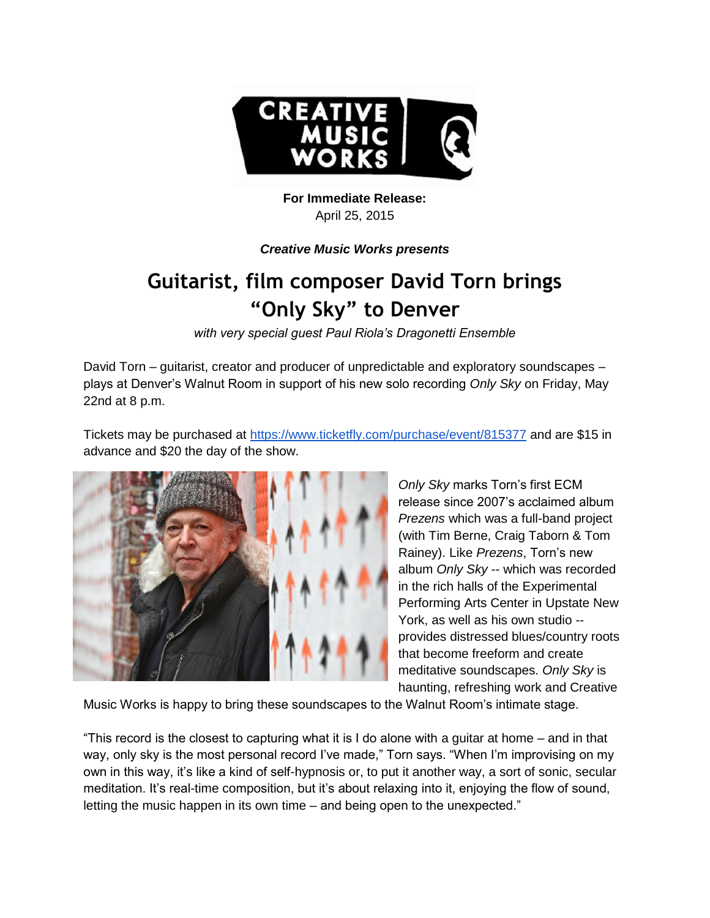

## **For Immediate Release:**  April 25, 2015

## *Creative Music Works presents*

## **Guitarist, film composer David Torn brings "Only Sky" to Denver**

*with very special guest Paul Riola's Dragonetti Ensemble*

David Torn – guitarist, creator and producer of unpredictable and exploratory soundscapes – plays at Denver's Walnut Room in support of his new solo recording *Only Sky* on Friday, May 22nd at 8 p.m.

Tickets may be purchased at<https://www.ticketfly.com/purchase/event/815377> and are \$15 in advance and \$20 the day of the show.



*Only Sky* marks Torn's first ECM release since 2007's acclaimed album *Prezens* which was a full-band project (with Tim Berne, Craig Taborn & Tom Rainey). Like *Prezens*, Torn's new album *Only Sky* -- which was recorded in the rich halls of the Experimental Performing Arts Center in Upstate New York, as well as his own studio - provides distressed blues/country roots that become freeform and create meditative soundscapes. *Only Sky* is haunting, refreshing work and Creative

Music Works is happy to bring these soundscapes to the Walnut Room's intimate stage.

"This record is the closest to capturing what it is I do alone with a guitar at home – and in that way, only sky is the most personal record I've made," Torn says. "When I'm improvising on my own in this way, it's like a kind of self-hypnosis or, to put it another way, a sort of sonic, secular meditation. It's real-time composition, but it's about relaxing into it, enjoying the flow of sound, letting the music happen in its own time – and being open to the unexpected."